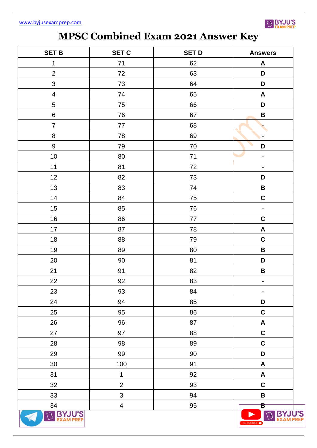

## **MPSC Combined Exam 2021 Answer Key**

| <b>SET B</b>            | <b>SET C</b>            | <b>SET D</b> | <b>Answers</b>               |
|-------------------------|-------------------------|--------------|------------------------------|
| $\mathbf 1$             | 71                      | 62           | A                            |
| $\mathbf{2}$            | $72\,$                  | 63           | D                            |
| 3                       | 73                      | 64           | D                            |
| $\overline{\mathbf{4}}$ | 74                      | 65           | $\boldsymbol{\mathsf{A}}$    |
| 5                       | 75                      | 66           | D                            |
| $\,6\,$                 | 76                      | 67           | $\, {\bf B}$                 |
| $\overline{7}$          | 77                      | 68           |                              |
| $\, 8$                  | 78                      | 69           | $\overline{\phantom{a}}$     |
| 9                       | 79                      | $70\,$       | D                            |
| $10$                    | 80                      | 71           | $\overline{\phantom{0}}$     |
| 11                      | 81                      | 72           | $\qquad \qquad \blacksquare$ |
| 12                      | 82                      | 73           | D                            |
| 13                      | 83                      | 74           | $\pmb{\mathsf{B}}$           |
| 14                      | 84                      | 75           | $\mathbf C$                  |
| 15                      | 85                      | 76           | $\overline{\phantom{a}}$     |
| 16                      | 86                      | 77           | $\mathbf C$                  |
| 17                      | 87                      | 78           | $\mathbf{A}$                 |
| 18                      | 88                      | 79           | $\mathbf C$                  |
| 19                      | 89                      | 80           | $\mathbf B$                  |
| 20                      | $90\,$                  | 81           | D                            |
| 21                      | 91                      | 82           | $\pmb{\mathsf{B}}$           |
| 22                      | 92                      | 83           | ۳                            |
| 23                      | 93                      | 84           | $\overline{\phantom{0}}$     |
| 24                      | 94                      | 85           | D                            |
| 25                      | 95                      | 86           | $\mathbf C$                  |
| 26                      | 96                      | 87           | $\boldsymbol{\mathsf{A}}$    |
| 27                      | 97                      | 88           | $\mathsf C$                  |
| 28                      | 98                      | 89           | $\mathbf C$                  |
| 29                      | 99                      | $90\,$       | D                            |
| 30 <sup>°</sup>         | 100                     | 91           | A                            |
| 31                      | $\mathbf 1$             | 92           | $\mathsf{A}$                 |
| 32                      | $\overline{2}$          | 93           | $\mathbf C$                  |
| 33                      | $\mathfrak{S}$          | 94           | $\pmb{\mathsf{B}}$           |
| 34                      | $\overline{\mathbf{4}}$ | 95           | $\mathbf{B}^-$               |
| <b>BYJU'S</b>           |                         |              | SUBSCRIBE <b>D</b>           |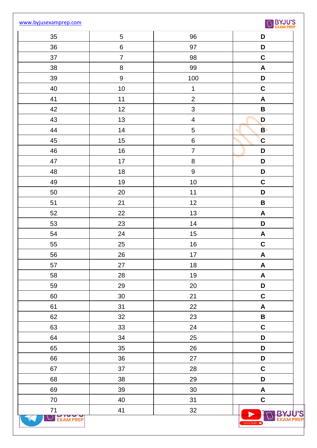[www.byjusexamprep.com](http://www.byjusexamprep.com/)



| $35\,$           | $\sqrt{5}$       | 96                      | D                         |
|------------------|------------------|-------------------------|---------------------------|
| 36               | $\,6$            | 97                      | D                         |
| 37               | $\overline{7}$   | 98                      | $\mathbf C$               |
| 38               | $\bf 8$          | 99                      | $\pmb{\mathsf{A}}$        |
| 39               | $\boldsymbol{9}$ | 100                     | D                         |
| 40               | 10               | $\mathbf 1$             | $\mathbf C$               |
| 41               | $11$             | $\overline{c}$          | $\boldsymbol{\mathsf{A}}$ |
| 42               | 12               | $\mathfrak{S}$          | $\, {\bf B}$              |
| 43               | 13               | $\overline{\mathbf{4}}$ | D                         |
| 44               | 14               | $\mathbf 5$             | B                         |
| 45               | 15               | $\, 6$                  | $\mathbf C$               |
| 46               | 16               | $\overline{7}$          | D                         |
| 47               | $17\,$           | $\bf 8$                 | D                         |
| 48               | 18               | $\boldsymbol{9}$        | D                         |
| 49               | 19               | $10$                    | $\mathbf C$               |
| 50               | 20               | $11$                    | D                         |
| 51               | 21               | 12                      | $\pmb{\mathsf{B}}$        |
| 52               | 22               | 13                      | $\pmb{\mathsf{A}}$        |
| 53               | 23               | 14                      | D                         |
| 54               | 24               | 15                      | $\pmb{\mathsf{A}}$        |
| 55               | 25               | $16\,$                  | $\mathbf C$               |
| 56               | 26               | $17$                    | $\pmb{\mathsf{A}}$        |
| 57               | 27               | 18                      | $\boldsymbol{\mathsf{A}}$ |
| 58               | 28               | $19$                    | $\boldsymbol{\mathsf{A}}$ |
| 59               | 29               | 20                      | D                         |
| 60               | 30 <sup>°</sup>  | 21                      | $\mathbf C$               |
| 61               | 31               | 22                      | $\pmb{\mathsf{A}}$        |
| 62               | 32               | 23                      | $\, {\bf B} \,$           |
| 63               | 33               | 24                      | $\mathbf C$               |
| 64               | 34               | 25                      | D                         |
| 65               | 35               | 26                      | D                         |
| 66               | 36               | 27                      | D                         |
| 67               | 37               | 28                      | $\mathbf C$               |
| 68               | 38               | 29                      | D                         |
| 69               | 39               | 30 <sub>o</sub>         | $\boldsymbol{\mathsf{A}}$ |
| $70\,$           | 40               | 31                      | $\mathbf C$               |
| $71$             | 41               | 32                      |                           |
| <b>EXAM PREP</b> |                  |                         | SUBSCRIBE <b>D</b>        |